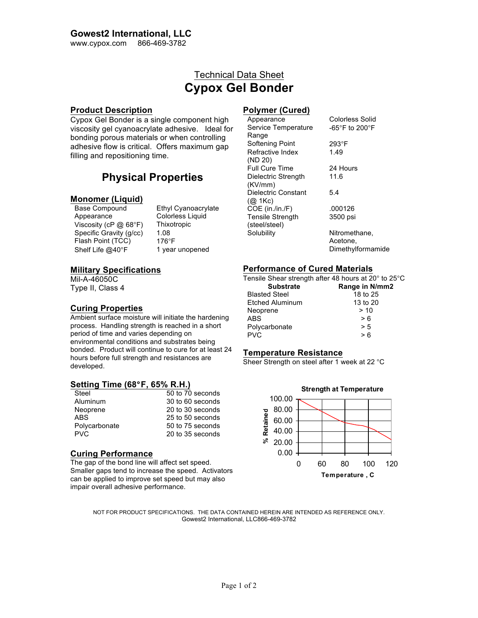## **Gowest2 International, LLC**

www.cypox.com 866-469-3782

# Technical Data Sheet **Cypox Gel Bonder**

#### **Product Description**

Cypox Gel Bonder is a single component high viscosity gel cyanoacrylate adhesive. Ideal for bonding porous materials or when controlling adhesive flow is critical. Offers maximum gap filling and repositioning time.

## **Physical Properties**

## **Monomer (Liquid)**

Base Compound Ethyl Cyanoacrylate Appearance Colorless Liquid Viscosity (cP @ 68°F) Thixotropic<br>Specific Gravity (q/cc) 1.08 Specific Gravity (g/cc) Flash Point (TCC) 176°F<br>Shelf Life @40°F 1 year unopened Shelf Life  $@40^\circ F$ 

## **Military Specifications**

Mil-A-46050C Type II, Class 4

## **Curing Properties**

Ambient surface moisture will initiate the hardening process. Handling strength is reached in a short period of time and varies depending on environmental conditions and substrates being bonded. Product will continue to cure for at least 24 hours before full strength and resistances are developed.

## **Setting Time (68**°**F, 65% R.H.)**

| Steel         | 50 to 70 seconds |
|---------------|------------------|
| Aluminum      | 30 to 60 seconds |
| Neoprene      | 20 to 30 seconds |
| ABS.          | 25 to 50 seconds |
| Polycarbonate | 50 to 75 seconds |
| <b>PVC</b>    | 20 to 35 seconds |
|               |                  |

## **Curing Performance**

The gap of the bond line will affect set speed. Smaller gaps tend to increase the speed. Activators can be applied to improve set speed but may also impair overall adhesive performance.

## **Polymer (Cured)**

| Appearance                        | Colorless Solid   |
|-----------------------------------|-------------------|
| Service Temperature               | -65°F to 200°F    |
| Range                             |                   |
| Softening Point                   | 293°F             |
| Refractive Index                  | 1.49              |
| (ND 20)                           |                   |
| <b>Full Cure Time</b>             | 24 Hours          |
| Dielectric Strength               | 11.6              |
| (KV/mm)                           |                   |
| Dielectric Constant               | 5.4               |
| (Q <sub>0</sub> 1 <sub>Kc</sub> ) |                   |
| $COE$ (in./in./F)                 | .000126           |
| <b>Tensile Strength</b>           | 3500 psi          |
| (steel/steel)                     |                   |
| Solubility                        | Nitromethane,     |
|                                   | Acetone,          |
|                                   | Dimethylformamide |

## **Performance of Cured Materials**

Tensile Shear strength after 48 hours at 20° to 25°C<br>Substrate Range in N/mm2 **Range in N/mm2** Blasted Steel 18 to 25 Etched Aluminum 13 to 20 Neoprene > 10  $ABS$   $>6$ Polycarbonate > 5  $PVC \t\t\t > 6$ 

## **Temperature Resistance**

Sheer Strength on steel after 1 week at 22 °C



NOT FOR PRODUCT SPECIFICATIONS. THE DATA CONTAINED HEREIN ARE INTENDED AS REFERENCE ONLY. Gowest2 International, LLC866-469-3782